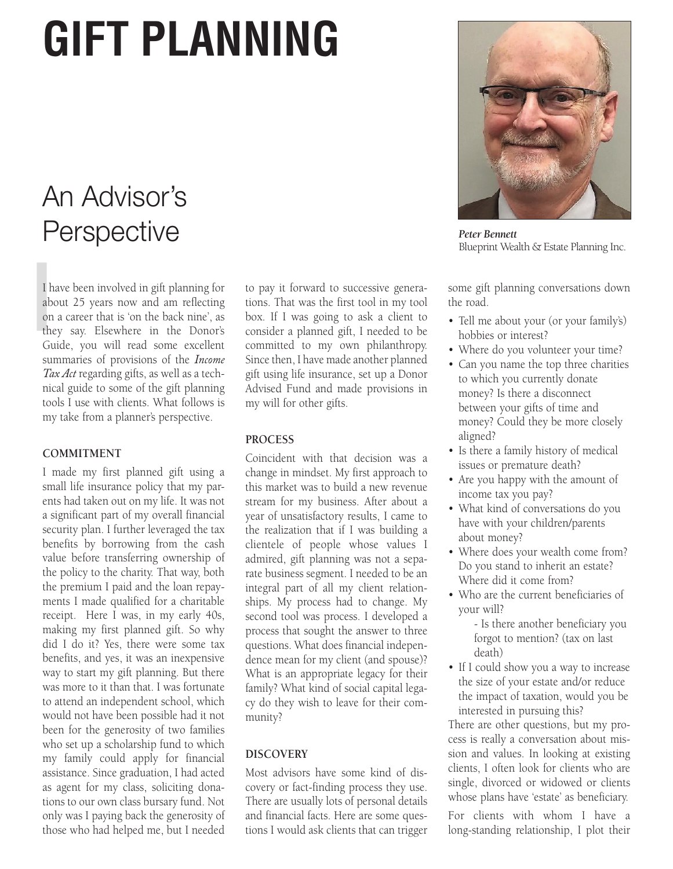# **GIFT PLANNING**

# An Advisor's **Perspective**

I h<br>ab<br>on<br>the I have been involved in gift planning for about 25 years now and am reflecting on a career that is 'on the back nine', as they say. Elsewhere in the Donor's Guide, you will read some excellent summaries of provisions of the *Income Tax Act* regarding gifts, as well as a technical guide to some of the gift planning tools I use with clients. What follows is my take from a planner's perspective.

## **COMMITMENT**

I made my first planned gift using a small life insurance policy that my parents had taken out on my life. It was not a significant part of my overall financial security plan. I further leveraged the tax benefits by borrowing from the cash value before transferring ownership of the policy to the charity. That way, both the premium I paid and the loan repayments I made qualified for a charitable receipt. Here I was, in my early 40s, making my first planned gift. So why did I do it? Yes, there were some tax benefits, and yes, it was an inexpensive way to start my gift planning. But there was more to it than that. I was fortunate to attend an independent school, which would not have been possible had it not been for the generosity of two families who set up a scholarship fund to which my family could apply for financial assistance. Since graduation, I had acted as agent for my class, soliciting donations to our own class bursary fund. Not only was I paying back the generosity of those who had helped me, but I needed

to pay it forward to successive generations. That was the first tool in my tool box. If I was going to ask a client to consider a planned gift, I needed to be committed to my own philanthropy. Since then, I have made another planned gift using life insurance, set up a Donor Advised Fund and made provisions in my will for other gifts.

# **PROCESS**

Coincident with that decision was a change in mindset. My first approach to this market was to build a new revenue stream for my business. After about a year of unsatisfactory results, I came to the realization that if I was building a clientele of people whose values I admired, gift planning was not a separate business segment. I needed to be an integral part of all my client relationships. My process had to change. My second tool was process. I developed a process that sought the answer to three questions. What does financial independence mean for my client (and spouse)? What is an appropriate legacy for their family? What kind of social capital legacy do they wish to leave for their community?

# **DISCOVERY**

Most advisors have some kind of discovery or fact-finding process they use. There are usually lots of personal details and financial facts. Here are some questions I would ask clients that can trigger



*Peter Bennett* Blueprint Wealth & Estate Planning Inc.

some gift planning conversations down the road.

- Tell me about your (or your family's) hobbies or interest?
- Where do you volunteer your time?
- Can you name the top three charities to which you currently donate money? Is there a disconnect between your gifts of time and money? Could they be more closely aligned?
- Is there a family history of medical issues or premature death?
- Are you happy with the amount of income tax you pay?
- What kind of conversations do you have with your children/parents about money?
- Where does your wealth come from? Do you stand to inherit an estate? Where did it come from?
- Who are the current beneficiaries of your will?
	- Is there another beneficiary you forgot to mention? (tax on last death)
- If I could show you a way to increase the size of your estate and/or reduce the impact of taxation, would you be interested in pursuing this?

There are other questions, but my process is really a conversation about mission and values. In looking at existing clients, I often look for clients who are single, divorced or widowed or clients whose plans have 'estate' as beneficiary.

For clients with whom I have a long-standing relationship, I plot their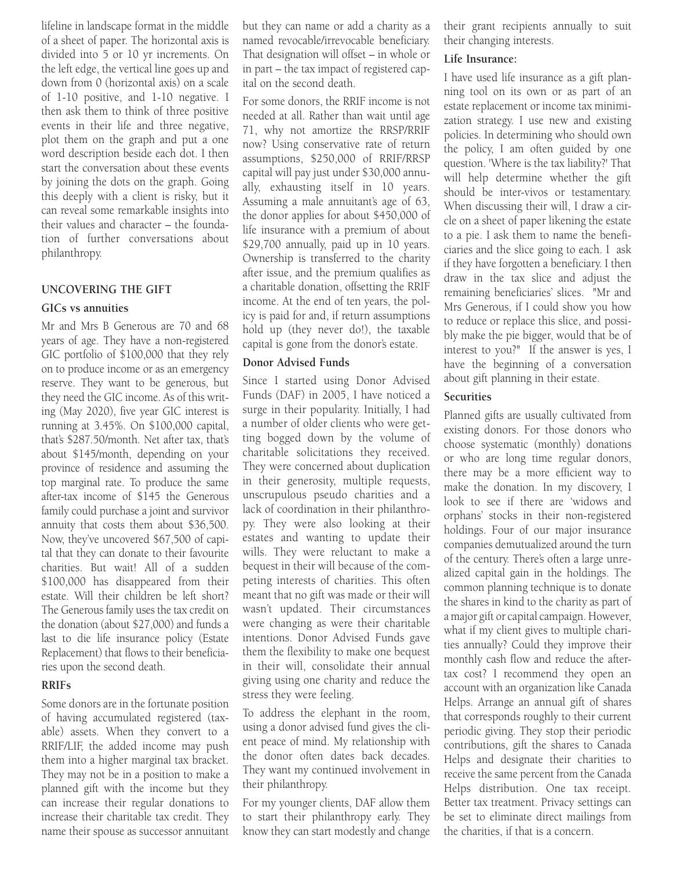lifeline in landscape format in the middle of a sheet of paper. The horizontal axis is divided into 5 or 10 yr increments. On the left edge, the vertical line goes up and down from 0 (horizontal axis) on a scale of 1-10 positive, and 1-10 negative. I then ask them to think of three positive events in their life and three negative, plot them on the graph and put a one word description beside each dot. I then start the conversation about these events by joining the dots on the graph. Going this deeply with a client is risky, but it can reveal some remarkable insights into their values and character – the foundation of further conversations about philanthropy.

### **UNCOVERING THE GIFT**

#### **GICs vs annuities**

Mr and Mrs B Generous are 70 and 68 years of age. They have a non-registered GIC portfolio of \$100,000 that they rely on to produce income or as an emergency reserve. They want to be generous, but they need the GIC income. As of this writing (May 2020), five year GIC interest is running at 3.45%. On \$100,000 capital, that's \$287.50/month. Net after tax, that's about \$145/month, depending on your province of residence and assuming the top marginal rate. To produce the same after-tax income of \$145 the Generous family could purchase a joint and survivor annuity that costs them about \$36,500. Now, they've uncovered \$67,500 of capital that they can donate to their favourite charities. But wait! All of a sudden \$100,000 has disappeared from their estate. Will their children be left short? The Generous family uses the tax credit on the donation (about \$27,000) and funds a last to die life insurance policy (Estate Replacement) that flows to their beneficiaries upon the second death.

#### **RRIFs**

Some donors are in the fortunate position of having accumulated registered (taxable) assets. When they convert to a RRIF/LIF, the added income may push them into a higher marginal tax bracket. They may not be in a position to make a planned gift with the income but they can increase their regular donations to increase their charitable tax credit. They name their spouse as successor annuitant

but they can name or add a charity as a named revocable/irrevocable beneficiary. That designation will offset – in whole or in part – the tax impact of registered capital on the second death.

For some donors, the RRIF income is not needed at all. Rather than wait until age 71, why not amortize the RRSP/RRIF now? Using conservative rate of return assumptions, \$250,000 of RRIF/RRSP capital will pay just under \$30,000 annually, exhausting itself in 10 years. Assuming a male annuitant's age of 63, the donor applies for about \$450,000 of life insurance with a premium of about \$29,700 annually, paid up in 10 years. Ownership is transferred to the charity after issue, and the premium qualifies as a charitable donation, offsetting the RRIF income. At the end of ten years, the policy is paid for and, if return assumptions hold up (they never do!), the taxable capital is gone from the donor's estate.

# **Donor Advised Funds**

Since I started using Donor Advised Funds (DAF) in 2005, I have noticed a surge in their popularity. Initially, I had a number of older clients who were getting bogged down by the volume of charitable solicitations they received. They were concerned about duplication in their generosity, multiple requests, unscrupulous pseudo charities and a lack of coordination in their philanthropy. They were also looking at their estates and wanting to update their wills. They were reluctant to make a bequest in their will because of the competing interests of charities. This often meant that no gift was made or their will wasn't updated. Their circumstances were changing as were their charitable intentions. Donor Advised Funds gave them the flexibility to make one bequest in their will, consolidate their annual giving using one charity and reduce the stress they were feeling.

To address the elephant in the room, using a donor advised fund gives the client peace of mind. My relationship with the donor often dates back decades. They want my continued involvement in their philanthropy.

For my younger clients, DAF allow them to start their philanthropy early. They know they can start modestly and change their grant recipients annually to suit their changing interests.

#### **Life Insurance:**

I have used life insurance as a gift planning tool on its own or as part of an estate replacement or income tax minimization strategy. I use new and existing policies. In determining who should own the policy, I am often guided by one question. 'Where is the tax liability?' That will help determine whether the gift should be inter-vivos or testamentary. When discussing their will, I draw a circle on a sheet of paper likening the estate to a pie. I ask them to name the beneficiaries and the slice going to each. I ask if they have forgotten a beneficiary. I then draw in the tax slice and adjust the remaining beneficiaries' slices. "Mr and Mrs Generous, if I could show you how to reduce or replace this slice, and possibly make the pie bigger, would that be of interest to you?" If the answer is yes, I have the beginning of a conversation about gift planning in their estate.

#### **Securities**

Planned gifts are usually cultivated from existing donors. For those donors who choose systematic (monthly) donations or who are long time regular donors, there may be a more efficient way to make the donation. In my discovery, I look to see if there are 'widows and orphans' stocks in their non-registered holdings. Four of our major insurance companies demutualized around the turn of the century. There's often a large unrealized capital gain in the holdings. The common planning technique is to donate the shares in kind to the charity as part of a major gift or capital campaign. However, what if my client gives to multiple charities annually? Could they improve their monthly cash flow and reduce the aftertax cost? I recommend they open an account with an organization like Canada Helps. Arrange an annual gift of shares that corresponds roughly to their current periodic giving. They stop their periodic contributions, gift the shares to Canada Helps and designate their charities to receive the same percent from the Canada Helps distribution. One tax receipt. Better tax treatment. Privacy settings can be set to eliminate direct mailings from the charities, if that is a concern.